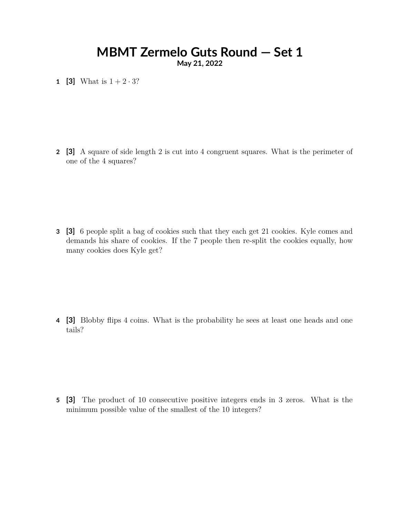# **MBMT Zermelo Guts Round — Set 1**

**May 21, 2022**

**1 [3]** What is  $1 + 2 \cdot 3$ ?

**2 [3]** A square of side length 2 is cut into 4 congruent squares. What is the perimeter of one of the 4 squares?

**3 [3]** 6 people split a bag of cookies such that they each get 21 cookies. Kyle comes and demands his share of cookies. If the 7 people then re-split the cookies equally, how many cookies does Kyle get?

**4 [3]** Blobby flips 4 coins. What is the probability he sees at least one heads and one tails?

**5 [3]** The product of 10 consecutive positive integers ends in 3 zeros. What is the minimum possible value of the smallest of the 10 integers?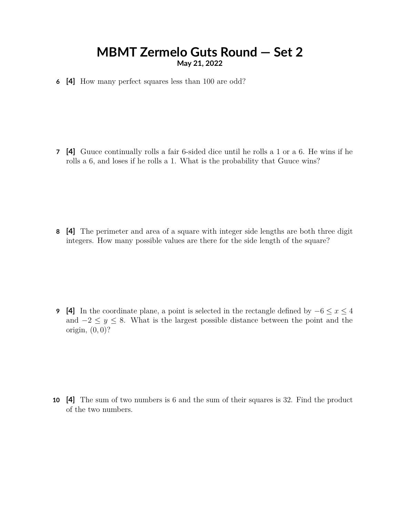### **MBMT Zermelo Guts Round — Set 2 May 21, 2022**

**6 [4]** How many perfect squares less than 100 are odd?

**7 [4]** Guuce continually rolls a fair 6-sided dice until he rolls a 1 or a 6. He wins if he rolls a 6, and loses if he rolls a 1. What is the probability that Guuce wins?

**8 [4]** The perimeter and area of a square with integer side lengths are both three digit integers. How many possible values are there for the side length of the square?

**9** [4] In the coordinate plane, a point is selected in the rectangle defined by  $-6 \le x \le 4$ and  $-2 \leq y \leq 8$ . What is the largest possible distance between the point and the origin, (0*,* 0)?

**10 [4]** The sum of two numbers is 6 and the sum of their squares is 32. Find the product of the two numbers.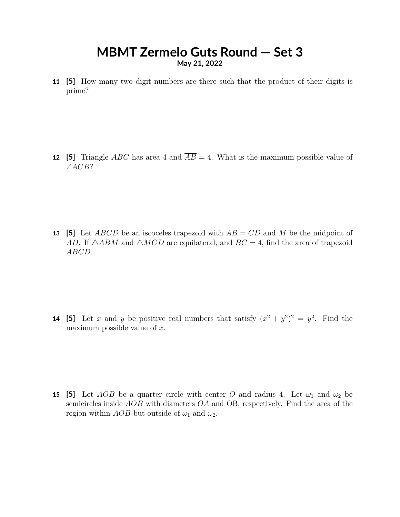## **MBMT Zermelo Guts Round — Set 3 May 21, 2022**

**11 [5]** How many two digit numbers are there such that the product of their digits is prime?

**12 [5]** Triangle *ABC* has area 4 and  $\overline{AB} = 4$ . What is the maximum possible value of ∠*ACB*?

**13 [5]** Let *ABCD* be an iscoceles trapezoid with *AB* = *CD* and *M* be the midpoint of  $\overline{AD}$ . If  $\triangle ABM$  and  $\triangle MCD$  are equilateral, and  $BC = 4$ , find the area of trapezoid *ABCD*.

**14** [5] Let *x* and *y* be positive real numbers that satisfy  $(x^2 + y^2)^2 = y^2$ . Find the maximum possible value of *x*.

**15 [5]** Let *AOB* be a quarter circle with center *O* and radius 4. Let  $\omega_1$  and  $\omega_2$  be semicircles inside *AOB* with diameters *OA* and OB, respectively. Find the area of the region within *AOB* but outside of  $\omega_1$  and  $\omega_2$ .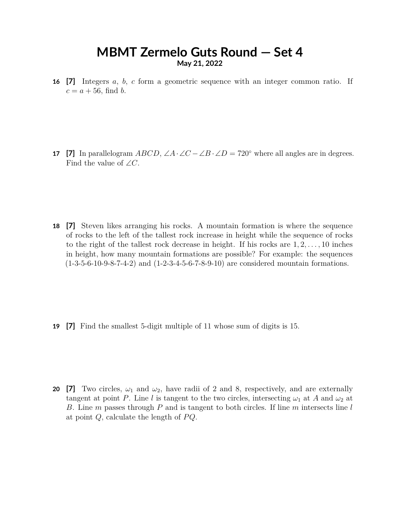#### **MBMT Zermelo Guts Round — Set 4 May 21, 2022**

**16 [7]** Integers *a*, *b*, *c* form a geometric sequence with an integer common ratio. If  $c = a + 56$ , find *b*.

**17 [7]** In parallelogram *ABCD*,  $\angle A \cdot \angle C - \angle B \cdot \angle D = 720^\circ$  where all angles are in degrees. Find the value of  $\angle C$ .

**18 [7]** Steven likes arranging his rocks. A mountain formation is where the sequence of rocks to the left of the tallest rock increase in height while the sequence of rocks to the right of the tallest rock decrease in height. If his rocks are 1*,* 2*, . . . ,* 10 inches in height, how many mountain formations are possible? For example: the sequences (1-3-5-6-10-9-8-7-4-2) and (1-2-3-4-5-6-7-8-9-10) are considered mountain formations.

**19 [7]** Find the smallest 5-digit multiple of 11 whose sum of digits is 15.

**20** [7] Two circles,  $\omega_1$  and  $\omega_2$ , have radii of 2 and 8, respectively, and are externally tangent at point *P*. Line *l* is tangent to the two circles, intersecting  $\omega_1$  at *A* and  $\omega_2$  at *B*. Line *m* passes through *P* and is tangent to both circles. If line *m* intersects line *l* at point *Q*, calculate the length of *P Q*.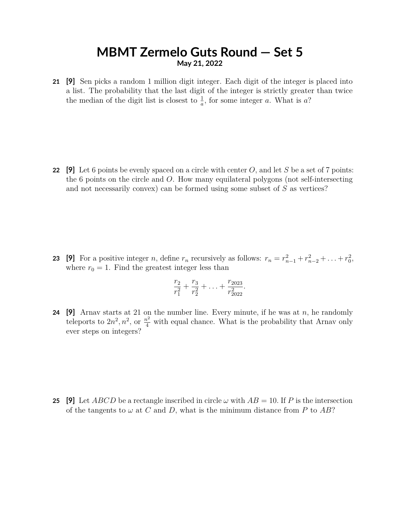#### **MBMT Zermelo Guts Round — Set 5 May 21, 2022**

**21 [9]** Sen picks a random 1 million digit integer. Each digit of the integer is placed into a list. The probability that the last digit of the integer is strictly greater than twice the median of the digit list is closest to  $\frac{1}{a}$ , for some integer *a*. What is *a*?

**22 [9]** Let 6 points be evenly spaced on a circle with center *O*, and let *S* be a set of 7 points: the 6 points on the circle and *O*. How many equilateral polygons (not self-intersecting and not necessarily convex) can be formed using some subset of *S* as vertices?

**23** [9] For a positive integer *n*, define  $r_n$  recursively as follows:  $r_n = r_{n-1}^2 + r_{n-2}^2 + \ldots + r_0^2$ , where  $r_0 = 1$ . Find the greatest integer less than

$$
\frac{r_2}{r_1^2} + \frac{r_3}{r_2^2} + \ldots + \frac{r_{2023}}{r_{2022}^2}.
$$

**24 [9]** Arnav starts at 21 on the number line. Every minute, if he was at *n*, he randomly teleports to  $2n^2$ ,  $n^2$ , or  $\frac{n^2}{4}$  with equal chance. What is the probability that Arnav only ever steps on integers?

**25** [9] Let *ABCD* be a rectangle inscribed in circle  $\omega$  with  $AB = 10$ . If P is the intersection of the tangents to  $\omega$  at  $C$  and  $D$ , what is the minimum distance from  $P$  to  $AB$ ?